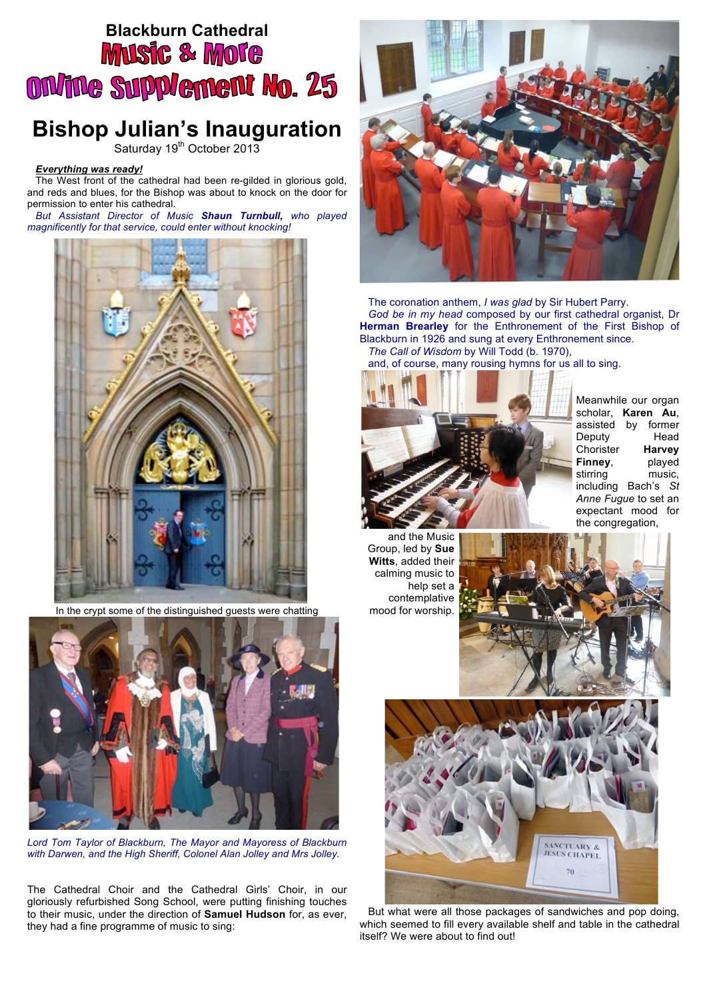## **Blackburn Cathedral**<br>**MUSIC & MOTC ON/INe Supplement No. 25**

## **Bishop Julian's Inauguration**

Saturday 19<sup>th</sup> October 2013

## *Everything was ready!*

The West front of the cathedral had been re-gilded in glorious gold, and reds and blues, for the Bishop was about to knock on the door for permission to enter his cathedral.

*But Assistant Director of Music Shaun Turnbull, who played magnificently for that service, could enter without knocking!*



In the crypt some of the distinguished guests were chatting



*Lord Tom Taylor of Blackburn, The Mayor and Mayoress of Blackburn with Darwen, and the High Sheriff, Colonel Alan Jolley and Mrs Jolley.*

The Cathedral Choir and the Cathedral Girls' Choir, in our gloriously refurbished Song School, were putting finishing touches to their music, under the direction of **Samuel Hudson** for, as ever, they had a fine programme of music to sing:



The coronation anthem, *I was glad* by Sir Hubert Parry. *God be in my head* composed by our first cathedral organist, Dr **Herman Brearley** for the Enthronement of the First Bishop of Blackburn in 1926 and sung at every Enthronement since. *The Call of Wisdom* by Will Todd (b. 1970),

and, of course, many rousing hymns for us all to sing.



Meanwhile our organ scholar, **Karen Au**, assisted by former<br>Deputy Head Deputy Chorister **Harvey Finney**, played stirring music, including Bach's *St Anne Fugue* to set an expectant mood for the congregation,

and the Music Group, led by **Sue Witts**, added their calming music to help set a contemplative mood for worship.





But what were all those packages of sandwiches and pop doing, which seemed to fill every available shelf and table in the cathedral itself? We were about to find out!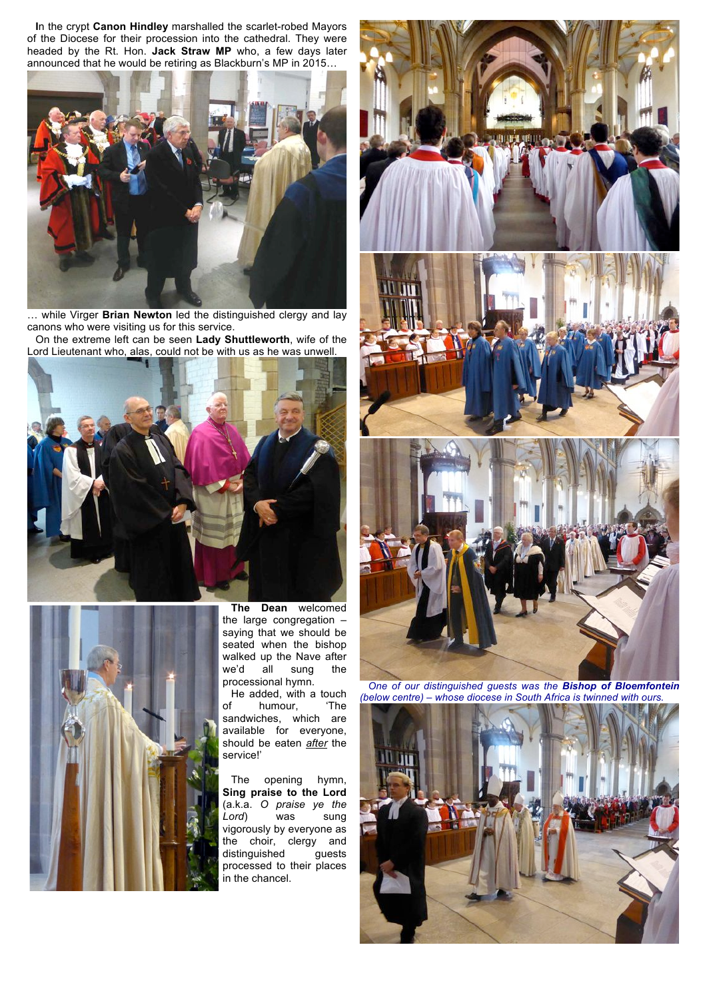**I**n the crypt **Canon Hindley** marshalled the scarlet-robed Mayors of the Diocese for their procession into the cathedral. They were headed by the Rt. Hon. **Jack Straw MP** who, a few days later announced that he would be retiring as Blackburn's MP in 2015…



… while Virger **Brian Newton** led the distinguished clergy and lay canons who were visiting us for this service.

On the extreme left can be seen **Lady Shuttleworth**, wife of the Lord Lieutenant who, alas, could not be with us as he was unwell.





**The Dean** welcomed the large congregation – saying that we should be seated when the bishop walked up the Nave after we'd all sung the processional hymn.

He added, with a touch<br>f humour, The of humour, sandwiches, which are available for everyone, should be eaten *after* the service!'

The opening hymn, **Sing praise to the Lord**  (a.k.a. *O praise ye the Lord*) was sung vigorously by everyone as the choir, clergy and<br>distinguished guests distinguished processed to their places in the chancel.



*One of our distinguished guests was the Bishop of Bloemfontein (below centre) – whose diocese in South Africa is twinned with ours.*